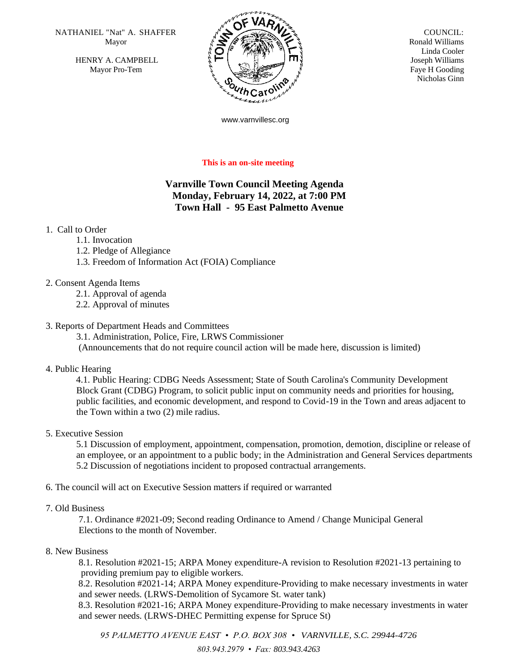NATHANIEL "Nat" A. SHAFFER  $\overline{N}$   $\overline{N}$   $\overline{N}$  COUNCIL: Mayor

HENRY A. CAMPBELL Mayor Pro-Tem



 Ronald Williams Linda Cooler Joseph Williams Faye H Gooding Nicholas Ginn

www.varnvillesc.org

#### **This is an on-site meeting**

# **Varnville Town Council Meeting Agenda Monday, February 14, 2022, at 7:00 PM Town Hall - 95 East Palmetto Avenue**

## 1. Call to Order

- 1.1. Invocation
- 1.2. Pledge of Allegiance
- 1.3. Freedom of Information Act (FOIA) Compliance
- 2. Consent Agenda Items
	- 2.1. Approval of agenda
	- 2.2. Approval of minutes

#### 3. Reports of Department Heads and Committees

3.1. Administration, Police, Fire, LRWS Commissioner (Announcements that do not require council action will be made here, discussion is limited)

#### 4. Public Hearing

 4.1. Public Hearing: CDBG Needs Assessment; State of South Carolina's Community Development Block Grant (CDBG) Program, to solicit public input on community needs and priorities for housing, public facilities, and economic development, and respond to Covid-19 in the Town and areas adjacent to the Town within a two (2) mile radius.

#### 5. Executive Session

5.1 Discussion of employment, appointment, compensation, promotion, demotion, discipline or release of an employee, or an appointment to a public body; in the Administration and General Services departments 5.2 Discussion of negotiations incident to proposed contractual arrangements.

6. The council will act on Executive Session matters if required or warranted

#### 7. Old Business

7.1. Ordinance #2021-09; Second reading Ordinance to Amend / Change Municipal General Elections to the month of November.

#### 8. New Business

8.1. Resolution #2021-15; ARPA Money expenditure-A revision to Resolution #2021-13 pertaining to providing premium pay to eligible workers.

 8.2. Resolution #2021-14; ARPA Money expenditure-Providing to make necessary investments in water and sewer needs. (LRWS-Demolition of Sycamore St. water tank)

 8.3. Resolution #2021-16; ARPA Money expenditure-Providing to make necessary investments in water and sewer needs. (LRWS-DHEC Permitting expense for Spruce St)

*95 PALMETTO AVENUE EAST • P.O. BOX 308 • VARNVILLE, S.C. 29944-4726 803.943.2979 • Fax: 803.943.4263*